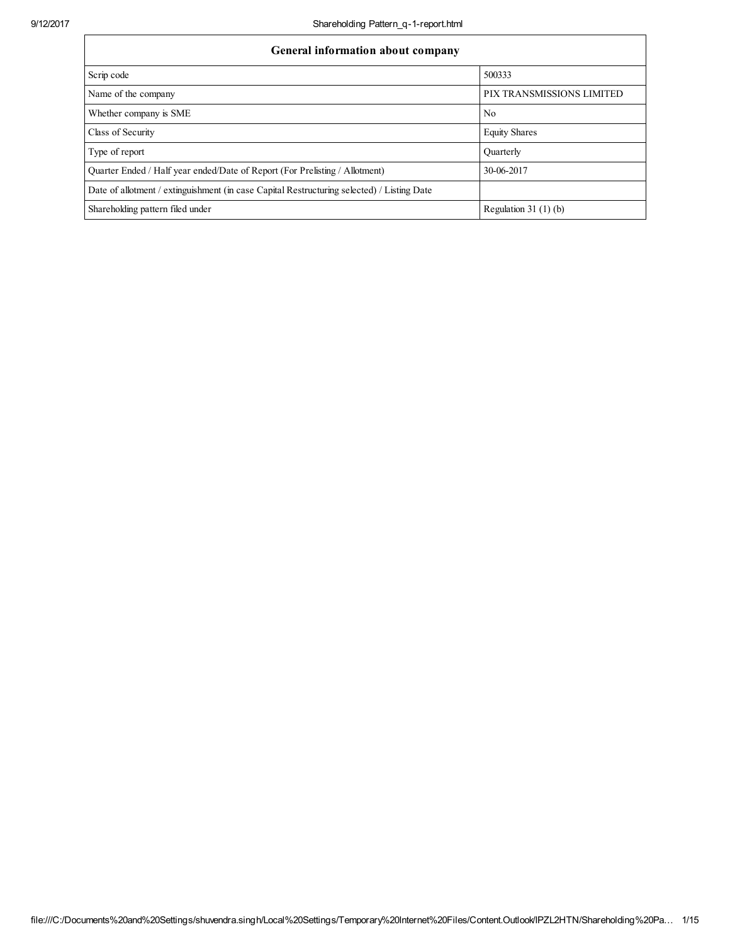| General information about company                                                          |                           |
|--------------------------------------------------------------------------------------------|---------------------------|
| Scrip code                                                                                 | 500333                    |
| Name of the company                                                                        | PIX TRANSMISSIONS LIMITED |
| Whether company is SME                                                                     | N <sub>0</sub>            |
| Class of Security                                                                          | <b>Equity Shares</b>      |
| Type of report                                                                             | Quarterly                 |
| Quarter Ended / Half year ended/Date of Report (For Prelisting / Allotment)                | 30-06-2017                |
| Date of allotment / extinguishment (in case Capital Restructuring selected) / Listing Date |                           |
| Shareholding pattern filed under                                                           | Regulation $31(1)(b)$     |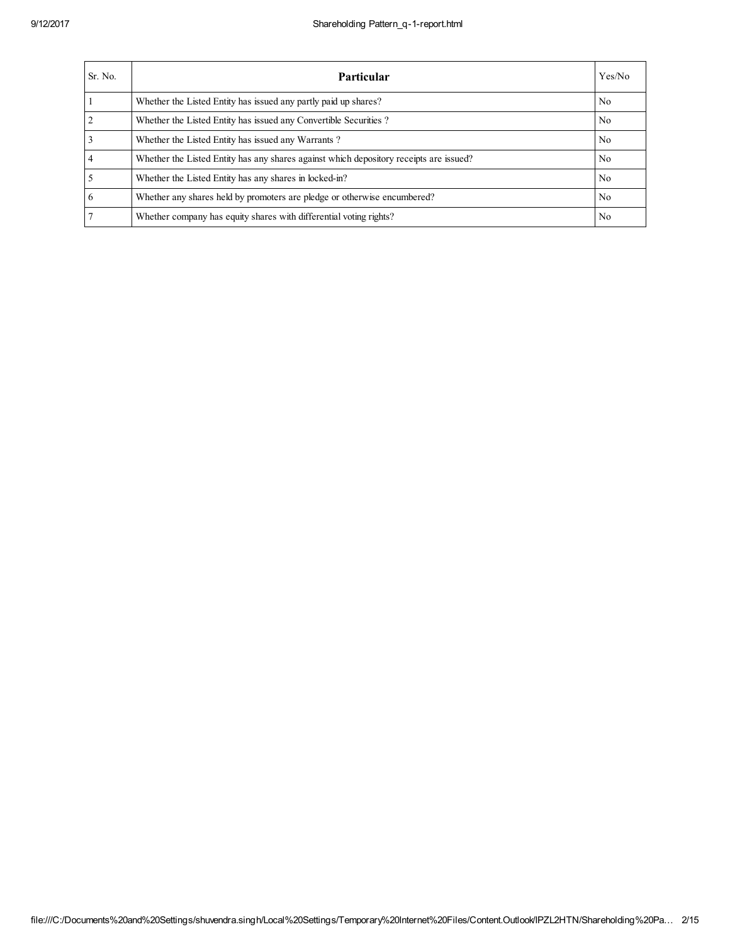| Sr. No.        | Particular                                                                             | Yes/No         |
|----------------|----------------------------------------------------------------------------------------|----------------|
|                | Whether the Listed Entity has issued any partly paid up shares?                        | No.            |
| $\overline{2}$ | Whether the Listed Entity has issued any Convertible Securities?                       | No.            |
| $\overline{3}$ | Whether the Listed Entity has issued any Warrants?                                     | No.            |
| $\overline{4}$ | Whether the Listed Entity has any shares against which depository receipts are issued? | No.            |
| $\overline{5}$ | Whether the Listed Entity has any shares in locked-in?                                 | No.            |
| 6              | Whether any shares held by promoters are pledge or otherwise encumbered?               | N <sub>0</sub> |
| 7              | Whether company has equity shares with differential voting rights?                     | No.            |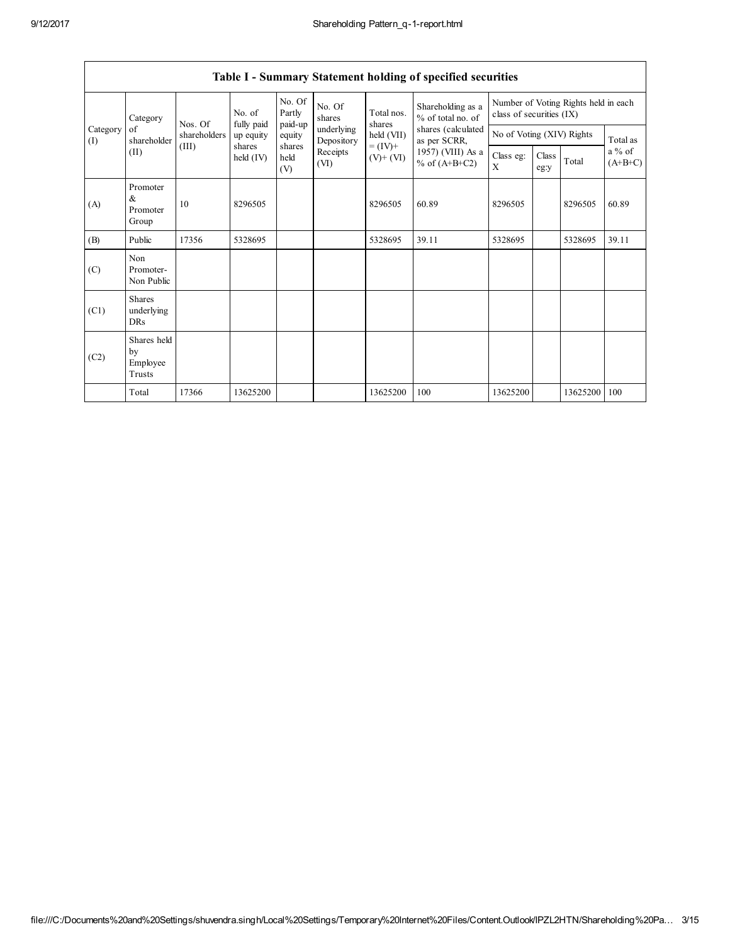Г

|                 |                                         |              |                              |                             |                          |                          | Table I - Summary Statement holding of specified securities |                                                                  |               |          |                                   |
|-----------------|-----------------------------------------|--------------|------------------------------|-----------------------------|--------------------------|--------------------------|-------------------------------------------------------------|------------------------------------------------------------------|---------------|----------|-----------------------------------|
| Category        |                                         | Nos. Of      | No. of<br>fully paid         | No. Of<br>Partly<br>paid-up | No. Of<br>shares         | Total nos.<br>shares     | Shareholding as a<br>% of total no. of                      | Number of Voting Rights held in each<br>class of securities (IX) |               |          |                                   |
| Category<br>(I) | of<br>shareholder                       | shareholders | up equity                    | equity                      | underlying<br>Depository | held (VII)               | shares (calculated<br>as per SCRR,                          | No of Voting (XIV) Rights                                        |               |          | Total as<br>$a\%$ of<br>$(A+B+C)$ |
|                 | (II)                                    | (III)        | shares<br>$\text{held (IV)}$ | shares<br>held<br>(V)       | Receipts<br>(VI)         | $= (IV) +$<br>$(V)+(VI)$ | 1957) (VIII) As a<br>% of $(A+B+C2)$                        | Class eg:<br>X                                                   | Class<br>eg:y | Total    |                                   |
| (A)             | Promoter<br>$\&$<br>Promoter<br>Group   | 10           | 8296505                      |                             |                          | 8296505                  | 60.89                                                       | 8296505                                                          |               | 8296505  | 60.89                             |
| (B)             | Public                                  | 17356        | 5328695                      |                             |                          | 5328695                  | 39.11                                                       | 5328695                                                          |               | 5328695  | 39.11                             |
| (C)             | Non<br>Promoter-<br>Non Public          |              |                              |                             |                          |                          |                                                             |                                                                  |               |          |                                   |
| (C1)            | <b>Shares</b><br>underlying<br>DRs      |              |                              |                             |                          |                          |                                                             |                                                                  |               |          |                                   |
| (C2)            | Shares held<br>by<br>Employee<br>Trusts |              |                              |                             |                          |                          |                                                             |                                                                  |               |          |                                   |
|                 | Total                                   | 17366        | 13625200                     |                             |                          | 13625200                 | 100                                                         | 13625200                                                         |               | 13625200 | 100                               |

|  | Table I - Summary Statement holding of specified securities |  |  |
|--|-------------------------------------------------------------|--|--|
|  |                                                             |  |  |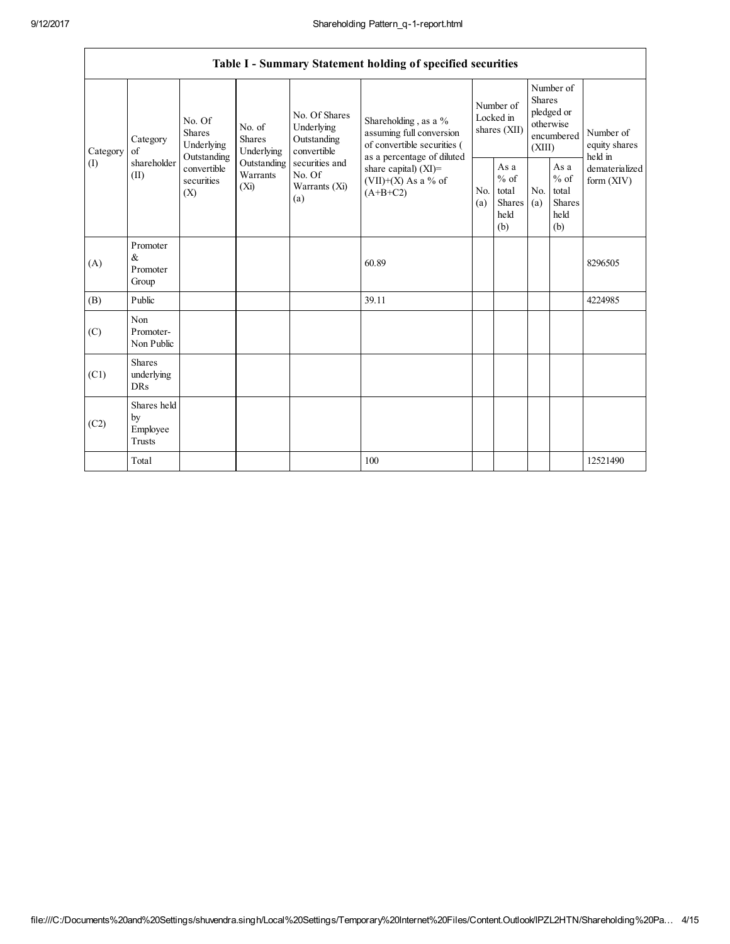|             |                                                                |                                       |                                                  |                                                             | Table I - Summary Statement holding of specified securities                                                   |                                                  |                       |                                                                                                                         |                                |                                       |
|-------------|----------------------------------------------------------------|---------------------------------------|--------------------------------------------------|-------------------------------------------------------------|---------------------------------------------------------------------------------------------------------------|--------------------------------------------------|-----------------------|-------------------------------------------------------------------------------------------------------------------------|--------------------------------|---------------------------------------|
| Category    | Category<br>of                                                 | No. Of<br><b>Shares</b><br>Underlying | No. of<br><b>Shares</b><br>Underlying            | No. Of Shares<br>Underlying<br>Outstanding<br>convertible   | Shareholding, as a %<br>assuming full conversion<br>of convertible securities (<br>as a percentage of diluted |                                                  |                       | Number of<br><b>Shares</b><br>Number of<br>pledged or<br>Locked in<br>otherwise<br>shares (XII)<br>encumbered<br>(XIII) |                                | Number of<br>equity shares<br>held in |
| (I)<br>(II) | Outstanding<br>shareholder<br>convertible<br>securities<br>(X) | Outstanding<br>Warrants<br>$(X_i)$    | securities and<br>No. Of<br>Warrants (Xi)<br>(a) | share capital) (XI)=<br>$(VII)+(X)$ As a % of<br>$(A+B+C2)$ | N <sub>0</sub><br>(a)                                                                                         | As a<br>$%$ of<br>total<br>Shares<br>held<br>(b) | N <sub>0</sub><br>(a) | As a<br>$%$ of<br>total<br>Shares<br>held<br>(b)                                                                        | dematerialized<br>form $(XIV)$ |                                       |
| (A)         | Promoter<br>&<br>Promoter<br>Group                             |                                       |                                                  |                                                             | 60.89                                                                                                         |                                                  |                       |                                                                                                                         |                                | 8296505                               |
| (B)         | Public                                                         |                                       |                                                  |                                                             | 39.11                                                                                                         |                                                  |                       |                                                                                                                         |                                | 4224985                               |
| (C)         | Non<br>Promoter-<br>Non Public                                 |                                       |                                                  |                                                             |                                                                                                               |                                                  |                       |                                                                                                                         |                                |                                       |
| (C1)        | <b>Shares</b><br>underlying<br>DRs                             |                                       |                                                  |                                                             |                                                                                                               |                                                  |                       |                                                                                                                         |                                |                                       |
| (C2)        | Shares held<br>by<br>Employee<br>Trusts                        |                                       |                                                  |                                                             |                                                                                                               |                                                  |                       |                                                                                                                         |                                |                                       |
|             | Total                                                          |                                       |                                                  |                                                             | 100                                                                                                           |                                                  |                       |                                                                                                                         |                                | 12521490                              |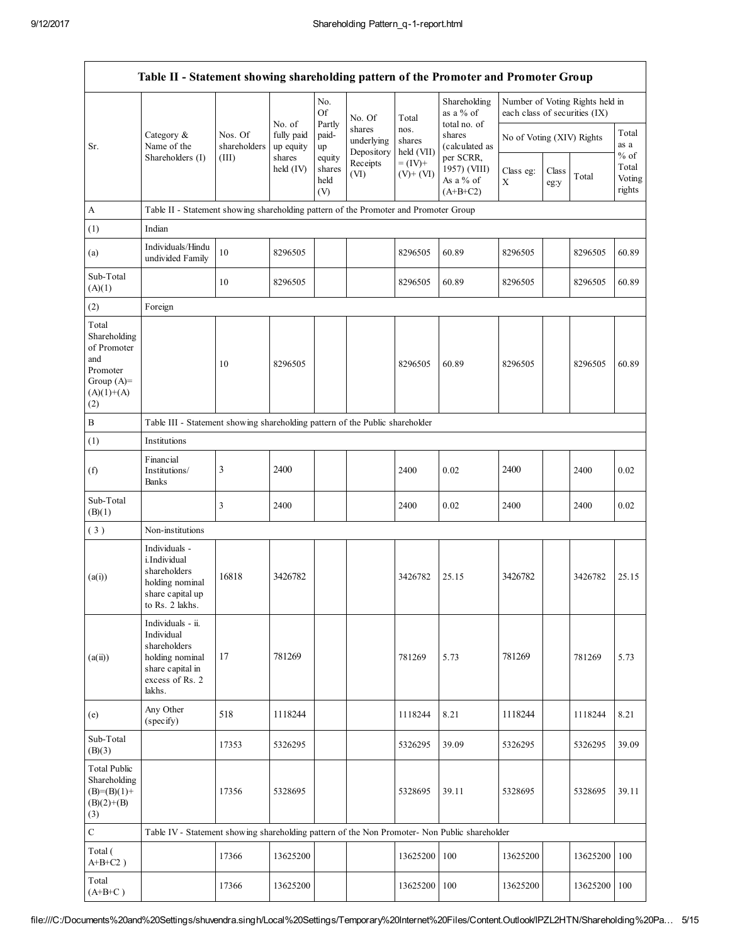|                                                                                                |                                                                                                                     |                         |                                   | No.                                |                                              |                                       | Shareholding                                          |                                                            |               | Number of Voting Rights held in |                                     |
|------------------------------------------------------------------------------------------------|---------------------------------------------------------------------------------------------------------------------|-------------------------|-----------------------------------|------------------------------------|----------------------------------------------|---------------------------------------|-------------------------------------------------------|------------------------------------------------------------|---------------|---------------------------------|-------------------------------------|
| Sr.                                                                                            | Category &<br>Name of the                                                                                           | Nos. Of<br>shareholders | No. of<br>fully paid<br>up equity | <b>Of</b><br>Partly<br>paid-<br>up | No. Of<br>shares<br>underlying<br>Depository | Total<br>nos.<br>shares<br>held (VII) | as a % of<br>total no. of<br>shares<br>(calculated as | each class of securities (IX)<br>No of Voting (XIV) Rights |               |                                 | Total<br>as a                       |
|                                                                                                | Shareholders (I)                                                                                                    | (III)                   | shares<br>held (IV)               | equity<br>shares<br>held<br>(V)    | Receipts<br>(VI)                             | $= (IV) +$<br>$(V)$ + $(VI)$          | per SCRR,<br>1957) (VIII)<br>As a % of<br>$(A+B+C2)$  | Class eg:<br>X                                             | Class<br>eg:y | Total                           | $%$ of<br>Total<br>Voting<br>rights |
| A                                                                                              | Table II - Statement showing shareholding pattern of the Promoter and Promoter Group                                |                         |                                   |                                    |                                              |                                       |                                                       |                                                            |               |                                 |                                     |
| (1)                                                                                            | Indian                                                                                                              |                         |                                   |                                    |                                              |                                       |                                                       |                                                            |               |                                 |                                     |
| (a)                                                                                            | Individuals/Hindu<br>undivided Family                                                                               | 10                      | 8296505                           |                                    |                                              | 8296505                               | 60.89                                                 | 8296505                                                    |               | 8296505                         | 60.89                               |
| Sub-Total<br>(A)(1)                                                                            |                                                                                                                     | 10                      | 8296505                           |                                    |                                              | 8296505                               | 60.89                                                 | 8296505                                                    |               | 8296505                         | 60.89                               |
| (2)                                                                                            | Foreign                                                                                                             |                         |                                   |                                    |                                              |                                       |                                                       |                                                            |               |                                 |                                     |
| Total<br>Shareholding<br>of Promoter<br>and<br>Promoter<br>Group $(A)=$<br>$(A)(1)+(A)$<br>(2) |                                                                                                                     | 10                      | 8296505                           |                                    |                                              | 8296505                               | 60.89                                                 | 8296505                                                    |               | 8296505                         | 60.89                               |
| $\, {\bf B}$                                                                                   | Table III - Statement showing shareholding pattern of the Public shareholder                                        |                         |                                   |                                    |                                              |                                       |                                                       |                                                            |               |                                 |                                     |
| (1)                                                                                            | Institutions                                                                                                        |                         |                                   |                                    |                                              |                                       |                                                       |                                                            |               |                                 |                                     |
| (f)                                                                                            | Financial<br>Institutions/<br>Banks                                                                                 | 3                       | 2400                              |                                    |                                              | 2400                                  | 0.02                                                  | 2400                                                       |               | 2400                            | 0.02                                |
| Sub-Total<br>(B)(1)                                                                            |                                                                                                                     | 3                       | 2400                              |                                    |                                              | 2400                                  | 0.02                                                  | 2400                                                       |               | 2400                            | 0.02                                |
| (3)                                                                                            | Non-institutions                                                                                                    |                         |                                   |                                    |                                              |                                       |                                                       |                                                            |               |                                 |                                     |
| (a(i))                                                                                         | Individuals -<br>i.Individual<br>shareholders<br>holding nominal<br>share capital up<br>to Rs. 2 lakhs.             | 16818                   | 3426782                           |                                    |                                              | 3426782                               | 25.15                                                 | 3426782                                                    |               | 3426782                         | 25.15                               |
| (a(ii))                                                                                        | Individuals - ii.<br>Individual<br>shareholders<br>holding nominal<br>share capital in<br>excess of Rs. 2<br>lakhs. | 17                      | 781269                            |                                    |                                              | 781269                                | 5.73                                                  | 781269                                                     |               | 781269                          | 5.73                                |
| (e)                                                                                            | Any Other<br>(specify)                                                                                              | 518                     | 1118244                           |                                    |                                              | 1118244                               | 8.21                                                  | 1118244                                                    |               | 1118244                         | 8.21                                |
| Sub-Total<br>(B)(3)                                                                            |                                                                                                                     | 17353                   | 5326295                           |                                    |                                              | 5326295                               | 39.09                                                 | 5326295                                                    |               | 5326295                         | 39.09                               |
| <b>Total Public</b><br>Shareholding<br>$(B)=(B)(1)+$<br>$(B)(2)+(B)$<br>(3)                    |                                                                                                                     | 17356                   | 5328695                           |                                    |                                              | 5328695                               | 39.11                                                 | 5328695                                                    |               | 5328695                         | 39.11                               |
| $\mathbf C$                                                                                    | Table IV - Statement showing shareholding pattern of the Non Promoter- Non Public shareholder                       |                         |                                   |                                    |                                              |                                       |                                                       |                                                            |               |                                 |                                     |
| Total (<br>$A+B+C2$ )                                                                          |                                                                                                                     | 17366                   | 13625200                          |                                    |                                              | 13625200                              | 100                                                   | 13625200                                                   |               | 13625200                        | 100                                 |
| Total<br>$(A+B+C)$                                                                             |                                                                                                                     | 17366                   | 13625200                          |                                    |                                              | 13625200                              | 100                                                   | 13625200                                                   |               | 13625200                        | 100                                 |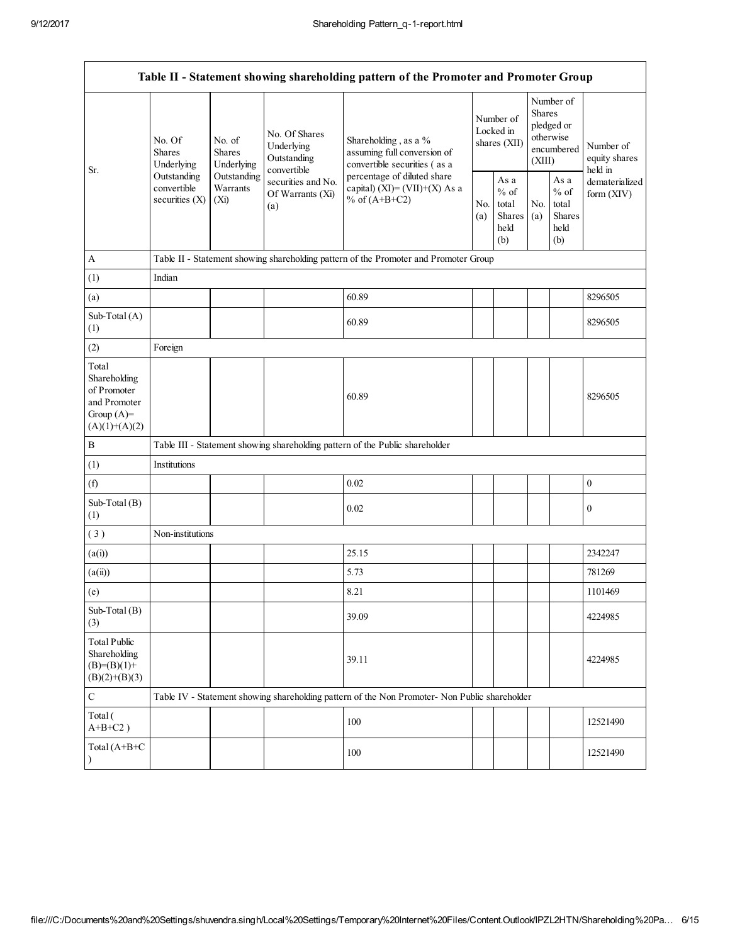|                                                                                         |                                                |                                       |                                                           | Table II - Statement showing shareholding pattern of the Promoter and Promoter Group          |            |                                                  |            |                                                                               |                                       |
|-----------------------------------------------------------------------------------------|------------------------------------------------|---------------------------------------|-----------------------------------------------------------|-----------------------------------------------------------------------------------------------|------------|--------------------------------------------------|------------|-------------------------------------------------------------------------------|---------------------------------------|
|                                                                                         | No. Of<br><b>Shares</b><br>Underlying          | No. of<br><b>Shares</b><br>Underlying | No. Of Shares<br>Underlying<br>Outstanding<br>convertible | Shareholding, as a %<br>assuming full conversion of<br>convertible securities (as a           |            | Number of<br>Locked in<br>shares (XII)           |            | Number of<br><b>Shares</b><br>pledged or<br>otherwise<br>encumbered<br>(XIII) | Number of<br>equity shares<br>held in |
| Sr.                                                                                     | Outstanding<br>convertible<br>securities $(X)$ | Outstanding<br>Warrants<br>$(X_i)$    | securities and No.<br>Of Warrants (Xi)<br>(a)             | percentage of diluted share<br>capital) (XI)= $(VII)+(X)$ As a<br>% of $(A+B+C2)$             | No.<br>(a) | As a<br>$%$ of<br>total<br>Shares<br>held<br>(b) | No.<br>(a) | As a<br>$%$ of<br>total<br>Shares<br>held<br>(b)                              | dematerialized<br>form (XIV)          |
| $\mathbf{A}$                                                                            |                                                |                                       |                                                           | Table II - Statement showing shareholding pattern of the Promoter and Promoter Group          |            |                                                  |            |                                                                               |                                       |
| (1)                                                                                     | Indian                                         |                                       |                                                           |                                                                                               |            |                                                  |            |                                                                               |                                       |
| (a)                                                                                     |                                                |                                       |                                                           | 60.89                                                                                         |            |                                                  |            |                                                                               | 8296505                               |
| Sub-Total (A)<br>(1)                                                                    |                                                |                                       |                                                           | 60.89                                                                                         |            |                                                  |            |                                                                               | 8296505                               |
| (2)                                                                                     | Foreign                                        |                                       |                                                           |                                                                                               |            |                                                  |            |                                                                               |                                       |
| Total<br>Shareholding<br>of Promoter<br>and Promoter<br>Group $(A)=$<br>$(A)(1)+(A)(2)$ |                                                |                                       |                                                           | 60.89                                                                                         |            |                                                  |            |                                                                               | 8296505                               |
| $\, {\bf B}$                                                                            |                                                |                                       |                                                           | Table III - Statement showing shareholding pattern of the Public shareholder                  |            |                                                  |            |                                                                               |                                       |
| (1)                                                                                     | Institutions                                   |                                       |                                                           |                                                                                               |            |                                                  |            |                                                                               |                                       |
| (f)                                                                                     |                                                |                                       |                                                           | 0.02                                                                                          |            |                                                  |            |                                                                               | $\boldsymbol{0}$                      |
| Sub-Total (B)<br>(1)                                                                    |                                                |                                       |                                                           | 0.02                                                                                          |            |                                                  |            |                                                                               | $\boldsymbol{0}$                      |
| (3)                                                                                     | Non-institutions                               |                                       |                                                           |                                                                                               |            |                                                  |            |                                                                               |                                       |
| (a(i))                                                                                  |                                                |                                       |                                                           | 25.15                                                                                         |            |                                                  |            |                                                                               | 2342247                               |
| (a(ii))                                                                                 |                                                |                                       |                                                           | 5.73                                                                                          |            |                                                  |            |                                                                               | 781269                                |
| (e)                                                                                     |                                                |                                       |                                                           | 8.21                                                                                          |            |                                                  |            |                                                                               | 1101469                               |
| Sub-Total (B)<br>(3)                                                                    |                                                |                                       |                                                           | 39.09                                                                                         |            |                                                  |            |                                                                               | 4224985                               |
| <b>Total Public</b><br>Shareholding<br>$(B)=(B)(1)+$<br>$(B)(2)+(B)(3)$                 |                                                |                                       |                                                           | 39.11                                                                                         |            |                                                  |            |                                                                               | 4224985                               |
| $\mathbf C$                                                                             |                                                |                                       |                                                           | Table IV - Statement showing shareholding pattern of the Non Promoter- Non Public shareholder |            |                                                  |            |                                                                               |                                       |
| Total (<br>$A+B+C2$ )                                                                   |                                                |                                       |                                                           | 100                                                                                           |            |                                                  |            |                                                                               | 12521490                              |
| Total (A+B+C<br>$\lambda$                                                               |                                                |                                       |                                                           | 100                                                                                           |            |                                                  |            |                                                                               | 12521490                              |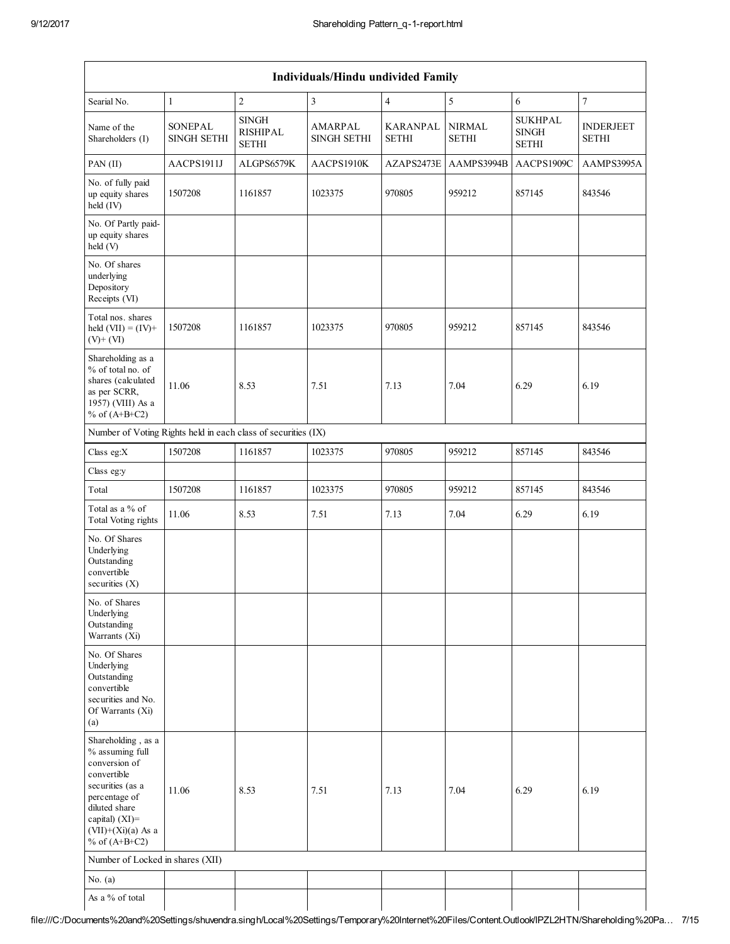|                                                                                                                                                                                             |                                      |                                                 | Individuals/Hindu undivided Family   |                                 |                               |                                                |                                  |
|---------------------------------------------------------------------------------------------------------------------------------------------------------------------------------------------|--------------------------------------|-------------------------------------------------|--------------------------------------|---------------------------------|-------------------------------|------------------------------------------------|----------------------------------|
| Searial No.                                                                                                                                                                                 | $\mathbf{1}$                         | $\mathbf{2}$                                    | 3                                    | $\overline{4}$                  | 5                             | 6                                              | $\overline{\mathcal{I}}$         |
| Name of the<br>Shareholders (I)                                                                                                                                                             | <b>SONEPAL</b><br><b>SINGH SETHI</b> | <b>SINGH</b><br><b>RISHIPAL</b><br><b>SETHI</b> | <b>AMARPAL</b><br><b>SINGH SETHI</b> | <b>KARANPAL</b><br><b>SETHI</b> | <b>NIRMAL</b><br><b>SETHI</b> | <b>SUKHPAL</b><br><b>SINGH</b><br><b>SETHI</b> | <b>INDERJEET</b><br><b>SETHI</b> |
| PAN (II)                                                                                                                                                                                    | AACPS1911J                           | ALGPS6579K                                      | AACPS1910K                           | AZAPS2473E                      | AAMPS3994B                    | AACPS1909C                                     | AAMPS3995A                       |
| No. of fully paid<br>up equity shares<br>held (IV)                                                                                                                                          | 1507208                              | 1161857                                         | 1023375                              | 970805                          | 959212                        | 857145                                         | 843546                           |
| No. Of Partly paid-<br>up equity shares<br>held (V)                                                                                                                                         |                                      |                                                 |                                      |                                 |                               |                                                |                                  |
| No. Of shares<br>underlying<br>Depository<br>Receipts (VI)                                                                                                                                  |                                      |                                                 |                                      |                                 |                               |                                                |                                  |
| Total nos. shares<br>held $(VII) = (IV) +$<br>$(V)+(VI)$                                                                                                                                    | 1507208                              | 1161857                                         | 1023375                              | 970805                          | 959212                        | 857145                                         | 843546                           |
| Shareholding as a<br>% of total no. of<br>shares (calculated<br>as per SCRR,<br>1957) (VIII) As a<br>% of $(A+B+C2)$                                                                        | 11.06                                | 8.53                                            | 7.51                                 | 7.13                            | 7.04                          | 6.29                                           | 6.19                             |
| Number of Voting Rights held in each class of securities (IX)                                                                                                                               |                                      |                                                 |                                      |                                 |                               |                                                |                                  |
| Class eg:X                                                                                                                                                                                  | 1507208                              | 1161857                                         | 1023375                              | 970805                          | 959212                        | 857145                                         | 843546                           |
| Class eg:y                                                                                                                                                                                  |                                      |                                                 |                                      |                                 |                               |                                                |                                  |
| Total                                                                                                                                                                                       | 1507208                              | 1161857                                         | 1023375                              | 970805                          | 959212                        | 857145                                         | 843546                           |
| Total as a % of<br>Total Voting rights                                                                                                                                                      | 11.06                                | 8.53                                            | 7.51                                 | 7.13                            | 7.04                          | 6.29                                           | 6.19                             |
| No. Of Shares<br>Underlying<br>Outstanding<br>convertible<br>securities $(X)$                                                                                                               |                                      |                                                 |                                      |                                 |                               |                                                |                                  |
| No. of Shares<br>Underlying<br>Outstanding<br>Warrants (Xi)                                                                                                                                 |                                      |                                                 |                                      |                                 |                               |                                                |                                  |
| No. Of Shares<br>Underlying<br>Outstanding<br>convertible<br>securities and No.<br>Of Warrants (Xi)<br>(a)                                                                                  |                                      |                                                 |                                      |                                 |                               |                                                |                                  |
| Shareholding, as a<br>% assuming full<br>conversion of<br>convertible<br>securities (as a<br>percentage of<br>diluted share<br>capital) $(XI)$ =<br>$(VII)+(Xi)(a)$ As a<br>% of $(A+B+C2)$ | 11.06                                | 8.53                                            | 7.51                                 | 7.13                            | 7.04                          | 6.29                                           | 6.19                             |
| Number of Locked in shares (XII)                                                                                                                                                            |                                      |                                                 |                                      |                                 |                               |                                                |                                  |
| No. $(a)$                                                                                                                                                                                   |                                      |                                                 |                                      |                                 |                               |                                                |                                  |
| As a $\%$ of total                                                                                                                                                                          |                                      |                                                 |                                      |                                 |                               |                                                |                                  |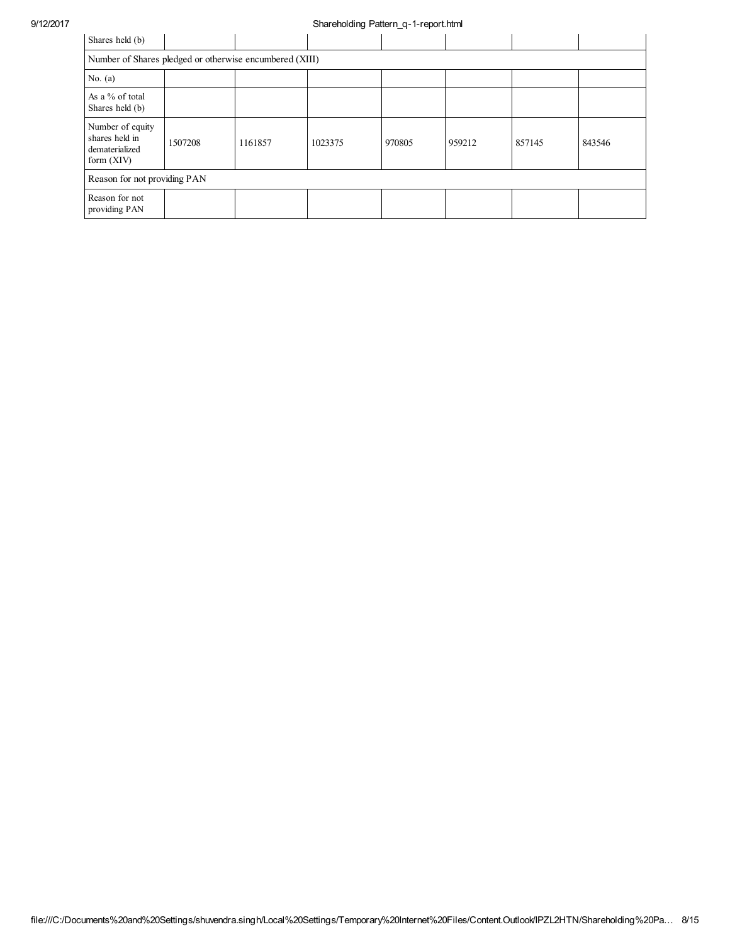## 9/12/2017 Shareholding Pattern\_q-1-report.html

| Shares held (b)                                                      |         |         |         |        |        |        |        |
|----------------------------------------------------------------------|---------|---------|---------|--------|--------|--------|--------|
| Number of Shares pledged or otherwise encumbered (XIII)              |         |         |         |        |        |        |        |
| No. $(a)$                                                            |         |         |         |        |        |        |        |
| As a % of total<br>Shares held (b)                                   |         |         |         |        |        |        |        |
| Number of equity<br>shares held in<br>dematerialized<br>form $(XIV)$ | 1507208 | 1161857 | 1023375 | 970805 | 959212 | 857145 | 843546 |
| Reason for not providing PAN                                         |         |         |         |        |        |        |        |
| Reason for not<br>providing PAN                                      |         |         |         |        |        |        |        |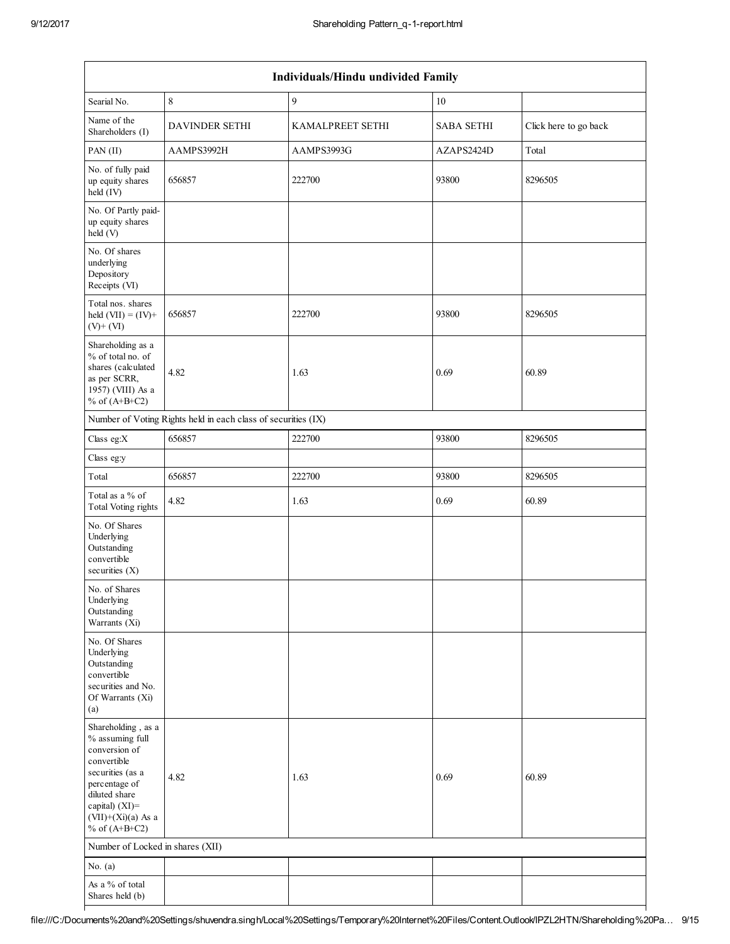|                                                                                                                                                                                             |                                                               | Individuals/Hindu undivided Family |                   |                       |
|---------------------------------------------------------------------------------------------------------------------------------------------------------------------------------------------|---------------------------------------------------------------|------------------------------------|-------------------|-----------------------|
| Searial No.                                                                                                                                                                                 | $\,$ 8 $\,$                                                   | 9                                  | 10                |                       |
| Name of the<br>Shareholders (I)                                                                                                                                                             | <b>DAVINDER SETHI</b>                                         | <b>KAMALPREET SETHI</b>            | <b>SABA SETHI</b> | Click here to go back |
| $PAN$ (II)                                                                                                                                                                                  | AAMPS3992H                                                    | AAMPS3993G                         | AZAPS2424D        | Total                 |
| No. of fully paid<br>up equity shares<br>held (IV)                                                                                                                                          | 656857                                                        | 222700                             | 93800             | 8296505               |
| No. Of Partly paid-<br>up equity shares<br>held (V)                                                                                                                                         |                                                               |                                    |                   |                       |
| No. Of shares<br>underlying<br>Depository<br>Receipts (VI)                                                                                                                                  |                                                               |                                    |                   |                       |
| Total nos. shares<br>held $(VII) = (IV) +$<br>$(V)$ + $(VI)$                                                                                                                                | 656857                                                        | 222700                             | 93800             | 8296505               |
| Shareholding as a<br>% of total no. of<br>shares (calculated<br>as per SCRR,<br>1957) (VIII) As a<br>% of $(A+B+C2)$                                                                        | 4.82                                                          | 1.63                               | 0.69              | 60.89                 |
|                                                                                                                                                                                             | Number of Voting Rights held in each class of securities (IX) |                                    |                   |                       |
| Class eg:X                                                                                                                                                                                  | 656857                                                        | 222700                             | 93800             | 8296505               |
| Class eg:y                                                                                                                                                                                  |                                                               |                                    |                   |                       |
| Total                                                                                                                                                                                       | 656857                                                        | 222700                             | 93800             | 8296505               |
| Total as a % of<br><b>Total Voting rights</b>                                                                                                                                               | 4.82                                                          | 1.63                               | 0.69              | 60.89                 |
| No. Of Shares<br>Underlying<br>Outstanding<br>convertible<br>securities $(X)$                                                                                                               |                                                               |                                    |                   |                       |
| No. of Shares<br>Underlying<br>Outstanding<br>Warrants (Xi)                                                                                                                                 |                                                               |                                    |                   |                       |
| No. Of Shares<br>Underlying<br>Outstanding<br>convertible<br>securities and No.<br>Of Warrants (Xi)<br>(a)                                                                                  |                                                               |                                    |                   |                       |
| Shareholding, as a<br>% assuming full<br>conversion of<br>convertible<br>securities (as a<br>percentage of<br>diluted share<br>capital) $(XI)$ =<br>$(VII)+(Xi)(a)$ As a<br>% of $(A+B+C2)$ | 4.82                                                          | 1.63                               | 0.69              | 60.89                 |
| Number of Locked in shares (XII)                                                                                                                                                            |                                                               |                                    |                   |                       |
| No. $(a)$                                                                                                                                                                                   |                                                               |                                    |                   |                       |
| As a % of total<br>Shares held (b)                                                                                                                                                          |                                                               |                                    |                   |                       |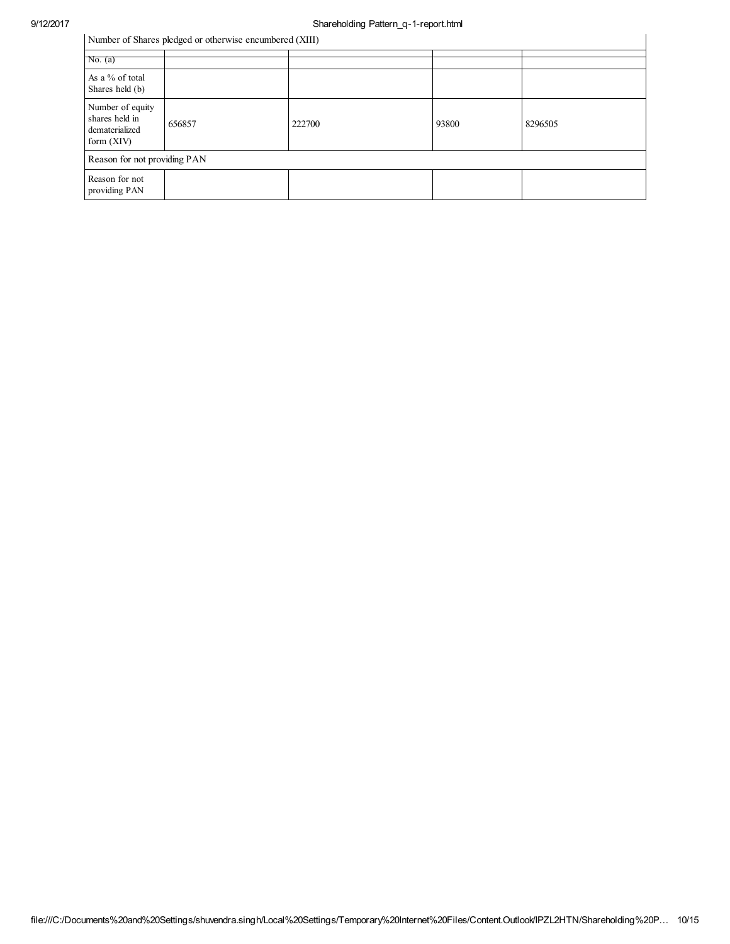## 9/12/2017 Shareholding Pattern\_q-1-report.html

Number of Shares pledged or otherwise encumbered (XIII)

| Number of Shares pledged or otherwise encumbered (XIII)              |        |        |       |         |  |  |  |  |  |
|----------------------------------------------------------------------|--------|--------|-------|---------|--|--|--|--|--|
| No. (a)                                                              |        |        |       |         |  |  |  |  |  |
| As a % of total<br>Shares held (b)                                   |        |        |       |         |  |  |  |  |  |
| Number of equity<br>shares held in<br>dematerialized<br>form $(XIV)$ | 656857 | 222700 | 93800 | 8296505 |  |  |  |  |  |
| Reason for not providing PAN                                         |        |        |       |         |  |  |  |  |  |
| Reason for not<br>providing PAN                                      |        |        |       |         |  |  |  |  |  |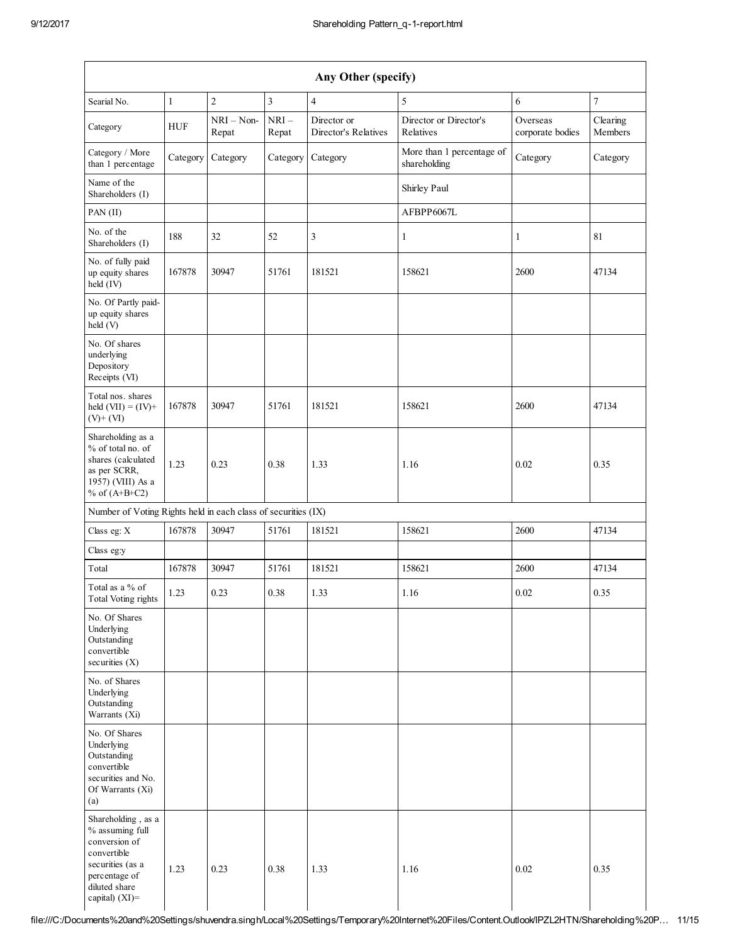|                                                                                                                                                  |              |                       |                 | Any Other (specify)                 |                                           |                              |                     |
|--------------------------------------------------------------------------------------------------------------------------------------------------|--------------|-----------------------|-----------------|-------------------------------------|-------------------------------------------|------------------------------|---------------------|
| Searial No.                                                                                                                                      | $\mathbf{1}$ | $\overline{c}$        | $\mathfrak{Z}$  | $\overline{4}$                      | 5                                         | 6                            | $\boldsymbol{7}$    |
| Category                                                                                                                                         | <b>HUF</b>   | $NRI - Non-$<br>Repat | $NRI-$<br>Repat | Director or<br>Director's Relatives | Director or Director's<br>Relatives       | Overseas<br>corporate bodies | Clearing<br>Members |
| Category / More<br>than 1 percentage                                                                                                             | Category     | Category              | Category        | Category                            | More than 1 percentage of<br>shareholding | Category                     | Category            |
| Name of the<br>Shareholders (I)                                                                                                                  |              |                       |                 |                                     | Shirley Paul                              |                              |                     |
| PAN (II)                                                                                                                                         |              |                       |                 |                                     | AFBPP6067L                                |                              |                     |
| No. of the<br>Shareholders (I)                                                                                                                   | 188          | 32                    | 52              | 3                                   | 1                                         | 1                            | 81                  |
| No. of fully paid<br>up equity shares<br>held (IV)                                                                                               | 167878       | 30947                 | 51761           | 181521                              | 158621                                    | 2600                         | 47134               |
| No. Of Partly paid-<br>up equity shares<br>held (V)                                                                                              |              |                       |                 |                                     |                                           |                              |                     |
| No. Of shares<br>underlying<br>Depository<br>Receipts (VI)                                                                                       |              |                       |                 |                                     |                                           |                              |                     |
| Total nos. shares<br>held $(VII) = (IV) +$<br>$(V)$ + $(VI)$                                                                                     | 167878       | 30947                 | 51761           | 181521                              | 158621                                    | 2600                         | 47134               |
| Shareholding as a<br>% of total no. of<br>shares (calculated<br>as per SCRR,<br>1957) (VIII) As a<br>% of $(A+B+C2)$                             | 1.23         | 0.23                  | 0.38            | 1.33                                | 1.16                                      | 0.02                         | 0.35                |
| Number of Voting Rights held in each class of securities (IX)                                                                                    |              |                       |                 |                                     |                                           |                              |                     |
| Class eg: X                                                                                                                                      | 167878       | 30947                 | 51761           | 181521                              | 158621                                    | 2600                         | 47134               |
| Class eg:y                                                                                                                                       |              |                       |                 |                                     |                                           |                              |                     |
| Total                                                                                                                                            | 167878       | 30947                 | 51761           | 181521                              | 158621                                    | 2600                         | 47134               |
| Total as a % of<br>Total Voting rights                                                                                                           | 1.23         | 0.23                  | 0.38            | 1.33                                | 1.16                                      | 0.02                         | 0.35                |
| No. Of Shares<br>Underlying<br>Outstanding<br>convertible<br>securities $(X)$                                                                    |              |                       |                 |                                     |                                           |                              |                     |
| No. of Shares<br>Underlying<br>Outstanding<br>Warrants (Xi)                                                                                      |              |                       |                 |                                     |                                           |                              |                     |
| No. Of Shares<br>Underlying<br>Outstanding<br>convertible<br>securities and No.<br>Of Warrants (Xi)<br>(a)                                       |              |                       |                 |                                     |                                           |                              |                     |
| Shareholding, as a<br>% assuming full<br>conversion of<br>convertible<br>securities (as a<br>percentage of<br>diluted share<br>capital) $(XI)$ = | 1.23         | 0.23                  | 0.38            | 1.33                                | 1.16                                      | 0.02                         | 0.35                |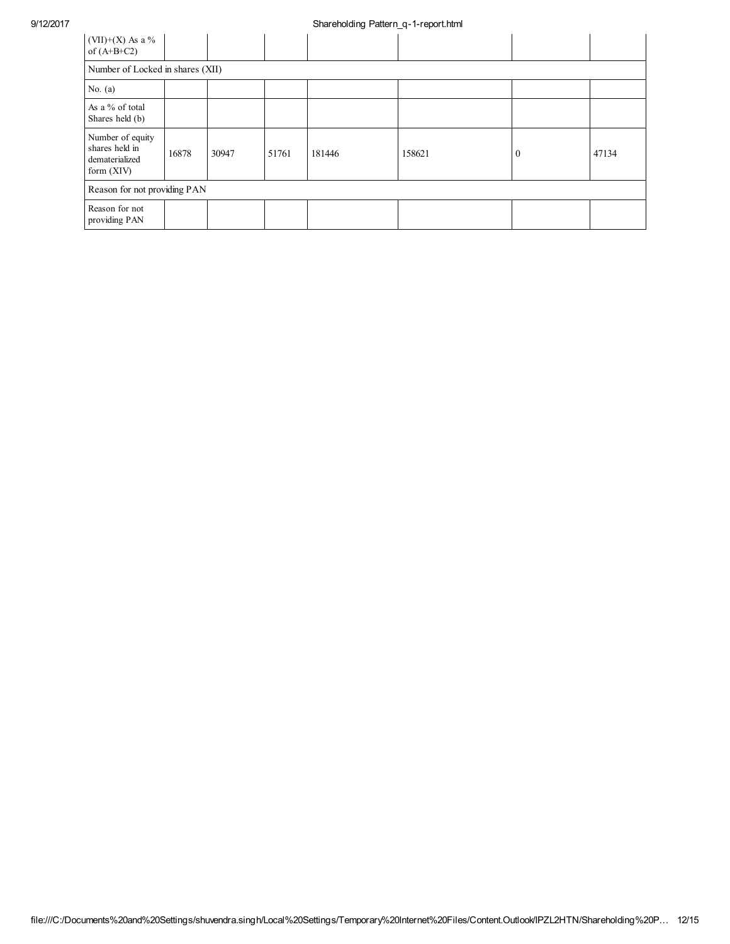## 9/12/2017 Shareholding Pattern\_q-1-report.html

| $(VII)+(X)$ As a %<br>of $(A+B+C2)$                                  |       |       |       |        |        |          |       |  |  |
|----------------------------------------------------------------------|-------|-------|-------|--------|--------|----------|-------|--|--|
| Number of Locked in shares (XII)                                     |       |       |       |        |        |          |       |  |  |
| No. $(a)$                                                            |       |       |       |        |        |          |       |  |  |
| As a % of total<br>Shares held (b)                                   |       |       |       |        |        |          |       |  |  |
| Number of equity<br>shares held in<br>dematerialized<br>form $(XIV)$ | 16878 | 30947 | 51761 | 181446 | 158621 | $\Omega$ | 47134 |  |  |
| Reason for not providing PAN                                         |       |       |       |        |        |          |       |  |  |
| Reason for not<br>providing PAN                                      |       |       |       |        |        |          |       |  |  |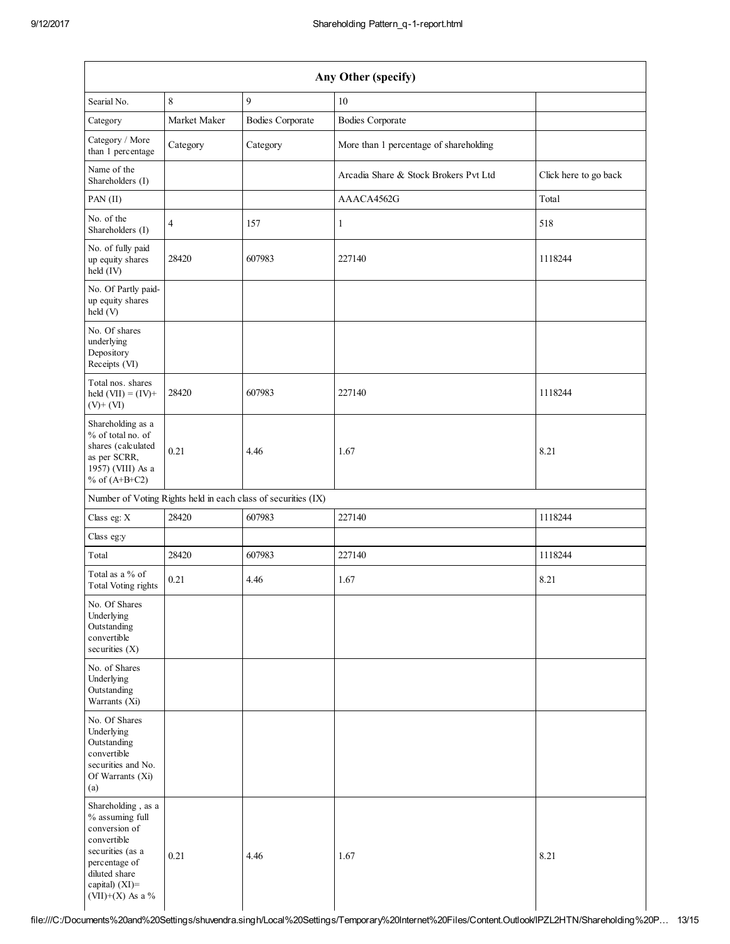| Any Other (specify)                                                                                                                                               |                |                                                               |                                        |                       |  |  |  |
|-------------------------------------------------------------------------------------------------------------------------------------------------------------------|----------------|---------------------------------------------------------------|----------------------------------------|-----------------------|--|--|--|
| Searial No.                                                                                                                                                       | $\,$ 8 $\,$    | 9                                                             | 10                                     |                       |  |  |  |
| Category                                                                                                                                                          | Market Maker   | <b>Bodies Corporate</b>                                       | <b>Bodies Corporate</b>                |                       |  |  |  |
| Category / More<br>than 1 percentage                                                                                                                              | Category       | Category                                                      | More than 1 percentage of shareholding |                       |  |  |  |
| Name of the<br>Shareholders (I)                                                                                                                                   |                |                                                               | Arcadia Share & Stock Brokers Pvt Ltd  | Click here to go back |  |  |  |
| PAN (II)                                                                                                                                                          |                |                                                               | AAACA4562G                             | Total                 |  |  |  |
| No. of the<br>Shareholders (I)                                                                                                                                    | $\overline{4}$ | 157                                                           | $\mathbf{1}$                           | 518                   |  |  |  |
| No. of fully paid<br>up equity shares<br>held (IV)                                                                                                                | 28420          | 607983                                                        | 227140                                 | 1118244               |  |  |  |
| No. Of Partly paid-<br>up equity shares<br>held(V)                                                                                                                |                |                                                               |                                        |                       |  |  |  |
| No. Of shares<br>underlying<br>Depository<br>Receipts (VI)                                                                                                        |                |                                                               |                                        |                       |  |  |  |
| Total nos. shares<br>held $(VII) = (IV) +$<br>$(V)$ + $(VI)$                                                                                                      | 28420          | 607983                                                        | 227140                                 | 1118244               |  |  |  |
| Shareholding as a<br>% of total no. of<br>shares (calculated<br>as per SCRR,<br>1957) (VIII) As a<br>% of $(A+B+C2)$                                              | 0.21           | 4.46                                                          | 1.67                                   | 8.21                  |  |  |  |
|                                                                                                                                                                   |                | Number of Voting Rights held in each class of securities (IX) |                                        |                       |  |  |  |
| Class eg: X                                                                                                                                                       | 28420          | 607983                                                        | 227140                                 | 1118244               |  |  |  |
| Class eg:y                                                                                                                                                        |                |                                                               |                                        |                       |  |  |  |
| Total                                                                                                                                                             | 28420          | 607983                                                        | 227140                                 | 1118244               |  |  |  |
| Total as a % of<br><b>Total Voting rights</b>                                                                                                                     | 0.21           | 4.46                                                          | 1.67                                   | 8.21                  |  |  |  |
| No. Of Shares<br>Underlying<br>Outstanding<br>convertible<br>securities (X)                                                                                       |                |                                                               |                                        |                       |  |  |  |
| No. of Shares<br>Underlying<br>Outstanding<br>Warrants (Xi)                                                                                                       |                |                                                               |                                        |                       |  |  |  |
| No. Of Shares<br>Underlying<br>Outstanding<br>convertible<br>securities and No.<br>Of Warrants (Xi)<br>(a)                                                        |                |                                                               |                                        |                       |  |  |  |
| Shareholding, as a<br>% assuming full<br>conversion of<br>convertible<br>securities (as a<br>percentage of<br>diluted share<br>capital) (XI)=<br>(VII)+(X) As a % | 0.21           | 4.46                                                          | 1.67                                   | 8.21                  |  |  |  |